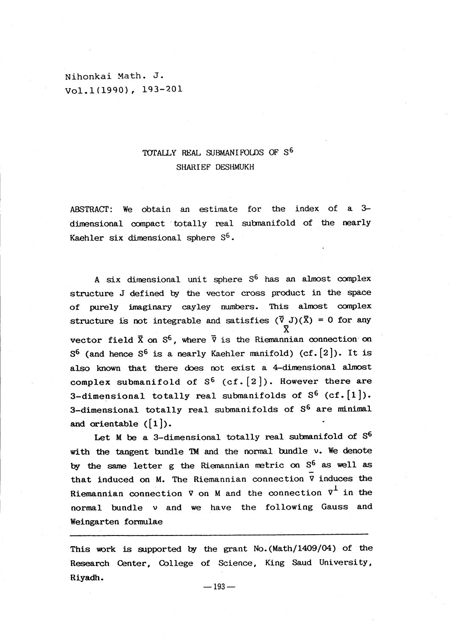Nihonkai Math. J. Vol. <sup>1</sup> (1990) 193-201

## TOTALLY REAL SUBMANIFOLDS OF S<sup>6</sup> SHARIEF DESHMUKH

ABSTRACT: We obtain an estimate for the index of a  $3$ dimensional compact totally real submanifold of the nearly Kaehler six dimensional sphere  $\mathbb{S}^{6}$ .

A six dimensional unit sphere  $S^{6}$  has an almost complex structure J defined by the vector cross product in the space of purely imaginary cayley numbers. This almost complex structure is not integrable and satisfies  $(\bar{\nabla} J) (\bar{X}) = 0$  for any X vector field  $\bar{\mathrm{X}}$  on  $\mathrm{S}^{6}$ , where  $\bar{\mathrm{V}}$  is the Riemannian connection on  $S^{6}$  (and hence  $S^{6}$  is a nearly Kaehler manifold) (cf.  $[2]$ ). It is also known that there does not exist a 4-dimensional almost complex submanifold of  $S^{6}$  (cf.  $[2]$ ). However there are 3-dimensional totally real submanifolds of  $S^{6}$  (cf.  $[1]$ ). 3-dimensional totally real submanifolds of  $S^{6}$  are minimal and orientable  $([1])$ .

Let  $M$  be a 3-dimensional totally real submanifold of  $S^{6}$ with the tangent bundle  $TM$  and the normal bundle  $v$ . We denote by the same letter  $g$  the Riemannian metric on  $S^{6}$  as well as that induced on M. The Riemannian connection  $\overline{v}$  induces the Riemannian connection  $\nabla$  on M and the connection  $\nabla^{1}$  in the normal bundle  $\nu$  and we have the following Gauss and Weingarten formulae

This work is supported by the grant No.  $(Math/1409/04)$  of the Research Center, College of Science, King Saud University, Riyadh.

 $-193-$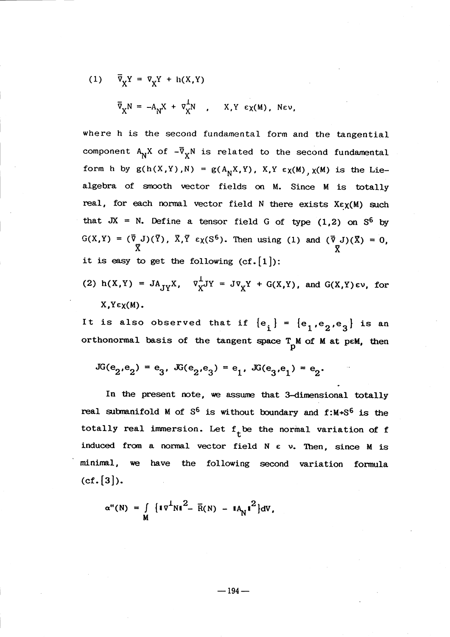(1) 
$$
\overline{v}_X Y = v_X Y + h(X,Y)
$$
  
 $\overline{v}_X N = -A_N X + v_X^{\perp} N$ , X,Y  $\epsilon_X(M)$ , New,

where h is the second fundamental form and the tangential component  $A_{N}X$  of  $-\overline{\nabla}_{X}N$  is related to the second fundamental form h by  $g(h(X, Y), N) = g(A_{N}X, Y)$ ,  $X, Y \in \chi(M)$ ,  $\chi(M)$  is the Liealgebra of smooth vector fields on M. Since M is totally real, for each normal vector field  $N$  there exists  $X\epsilon\chi(M)$  such that  $JX = N$ . Define a tensor field G of type  $(1,2)$  on  $S^{6}$  by  $G(X,Y)=(\overline{\nabla}_{\underline{\mathbf{y}}}J)(\overline{Y})$ ,  $\overline{X},\overline{Y}\in\chi(S^{6})$ . Then using (1) and  $(\overline{\nabla}_{\underline{\mathbf{J}}}J)(\overline{X})=0$ , it is easy to get the following  $(cf.[1])$ :

(2) 
$$
h(X,Y) = JA_{JY}X
$$
,  $\nabla_X^{\perp}JY = J\nabla_XY + G(X,Y)$ , and  $G(X,Y)\in V$ , for  $X,Y\in\chi(M)$ .

It is also observed that if  $\{e_{i}\} = \{e_{1}, e_{2}, e_{3}\}$  is an orthonormal basis of the tangent space  $T_{\text{p}}$ M of M at peM, then

$$
JG(e_2,e_2) = e_3, \ JG(e_2,e_3) = e_1, \ JG(e_3,e_1) = e_2.
$$

In the present note, we assume that 3-dimensional totally real submanifold M of  $S^{6}$  is without boundary and  $f:M+S^{6}$  is the totally real immersion. Let  $f_{t}$ be the normal variation of  $f$ induced from a normal vector field  $N \epsilon$  v. Then, since  $M$  is minimal, we have the following second variation formula  $(cf. [3]).$ 

$$
\alpha''(N) = \int\limits_{M} {\{\left\| {\bf{v}}^{\perp} N \right\|}^{2} - {\bar R}(N) - {\left\| {\bf{A}}_{N} \right\|}^{2} } dV,
$$

 $-194-$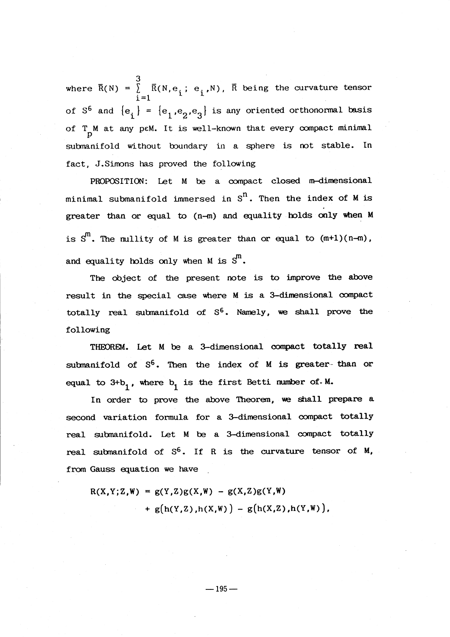3 where  $\overline{R}(N) = \begin{bmatrix} \overline{R}(N, e_{i}; e_{i},N) , & \overline{R} \end{bmatrix}$  being the curvature tensor  $1^{\equiv}1$ of  $S^{6}$  and  ${e_{i}}$  =  ${e_{1},e_{2},e_{3}}$  is any oriented orthonormal basis of  $T_{\text{N}}$  at any peM. It is well-known that every compact minimal submanifold without boundary in a sphere is not stable. In fact, J.Simons has proved the following

 $PROPOSITION: Let M be a compact closed m-dimensional$ minimal submanifold immersed in  $\texttt{S}^{\texttt{n}}$ . Then the index of M is greater than or equal to  $(n-m)$  and equality holds only when M is  $\texttt{S}^{\textsf{m}}$ . The nullity of M is greater than or equal to  $(\texttt{m+1})(\texttt{n-m})$ , and equality holds only when M is  ${\bf \mathsf{\scriptstyle{S}}}^{\mathsf{m}}.$ 

The object of the present note is to improve the above result in the special case where  $M$  is a 3-dimensional compact totally real submanifold of  $S^6$ . Namely, we shall prove the following

THEOREM. Let M be a 3-dimensional compact totally real submanifold of  $S^6$ . Then the index of M is greater-than or equal to  $3+b_{1}$ , where  $b_{1}$  is the first Betti number of. M.

In order to prove the above Theoren, we shall prepare a second variation formula for a 3-dimensional compact totally real submanifold. Let M be a 3-dimensional compact totally real submanifold of  $S^6$ . If R is the curvature tensor of  $M$ , from Gauss equation we have

 $R(X,Y;Z,W) = g(Y,Z)g(X,W) - g(X,Z)g(Y,W)$  $+g(h(Y,Z), h(X,W)) - g(h(X,Z), h(Y,W)),$ 

 $-195-$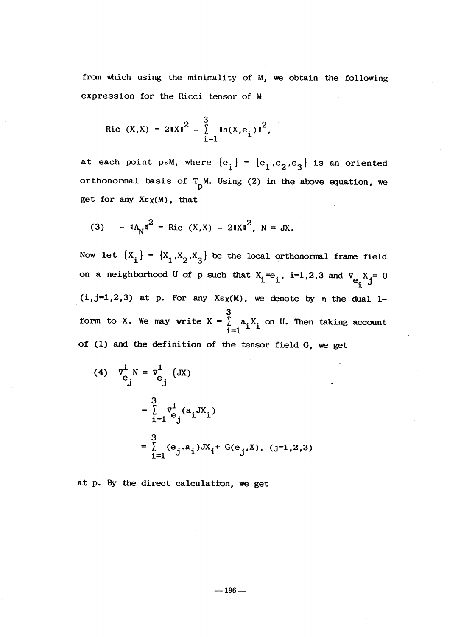from which using the minimality of M, we obtain the following expression for the Ricci tensor of M

Ric 
$$
(X,X) = 2||X||^2 - \sum_{i=1}^{3} ||h(X,e_i)||^2
$$
,

at each point peM, where  ${e_i}$  =  ${e_1, e_2, e_3}$  is an oriented orthonormal basis of  $T_{p}M$ . Using (2) in the above equation, we get for any  $X \in \chi(M)$ , that

(3) 
$$
- 1A_N t^2 = Ric (X,X) - 21Xt^2, N = JX.
$$

Now let  $\{X_{i}\}=\{X_{1},X_{2},X_{3}\}$  be the local orthonormal frame field on a neighborhood U of p such that  $X_{i}^{\equiv}e_{i}$ ,  $i=1,2,3$  and  $V_{e_{i}}X_{j}=0$  $(i,j=1,2,3)$  at p. For any  $X\in \chi(M)$ , we denote by  $\eta$  the dual 1-3 form to X. We may write  $X = \begin{bmatrix} a_{i}X_{i} & \text{on } U. \end{bmatrix}$  Then taking account of (1) and the definition of the tensor field  $G$ , we get

(4) 
$$
v_{e_j}^1 N = v_{e_j}^1 (JX)
$$
  
\n
$$
= \sum_{i=1}^3 v_{e_j}^1 (a_i JX_i)
$$
\n
$$
= \sum_{i=1}^3 (e_j.a_i)JX_i + G(e_j,X), (j=1,2,3)
$$

at p. By the direct calculation, we get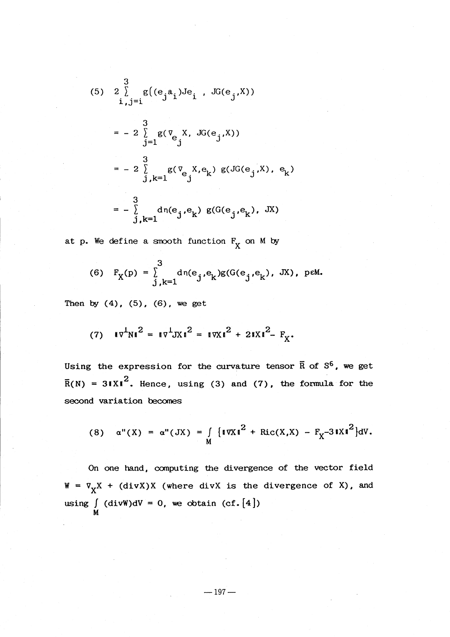(5) 
$$
2 \sum_{i,j=1}^{3} g(e_j a_i)Je_i
$$
,  $JG(e_j, X)$   
\n $= -2 \sum_{j=1}^{3} g(\nabla_{e_j} X, JG(e_j, X))$   
\n $= -2 \sum_{j,k=1}^{3} g(\nabla_{e_j} X, e_k) g(JG(e_j, X), e_k)$   
\n $= -2 \sum_{j,k=1}^{3} d_1(e_j, e_k) g(G(e_j, e_k), JX)$ 

at  $p.$  We define a smooth function  $F_{\overline{X}}$  on M by

(6) 
$$
F_X(p) = \int_{j,k=1}^{3} d\eta(e_j,e_k)g(G(e_j,e_k), JX), p \in M.
$$

Then by  $(4)$ ,  $(5)$ ,  $(6)$ , we get

(7) 
$$
\|\nabla^{\perp}N\|^2 = \|\nabla^{\perp}JX\|^2 = \|\nabla X\|^2 + 2\|X\|^2 - F_X
$$

Using the expression for the curvature tensor  $\mathbf{\bar{R}}$  of  $\mathbf{S^{6}}$ , we get  $\overline{R}(N) = 31Xl^2$ . Hence, using (3) and (7), the formula for the second variation becomes

(8) 
$$
\alpha''(X) = \alpha''(JX) = \int_{M} {\{\|\nabla X\|^2 + \text{Ric}(X,X) - \mathbf{F}_X - 3\|X\|^2\}}dV.
$$

On one hand, computing the divergence of the vector field  $W = \nabla_{X}X + (divX)X$  (where divX is the divergence of X), and using  $\int_{M}$  (divW)dV = 0, we obtain (cf. [4])

 $-197-$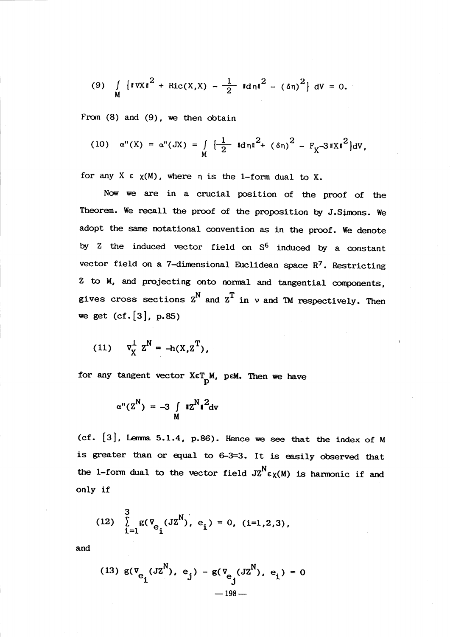(9) 
$$
\int_{M} \{ ||\nabla X||^{2} + Ric(X,X) - \frac{1}{2} ||\nabla \ln u|^{2} - (\delta \eta)^{2} \} dV = 0.
$$

From  $(8)$  and  $(9)$ , we then obtain

(10) 
$$
\alpha''(X) = \alpha''(JX) = \int_{M} \left\{ \frac{1}{2} \operatorname{Id} \pi I^{2} + (\delta \pi)^{2} - F_{X} - 3 \operatorname{d} X I^{2} \right\} dV
$$
,

for any  $X \in \chi(M)$ , where  $\eta$  is the 1-form dual to X.

Now we are in a crucial position of the proof of the Theorem. We recall the proof of the proposition by J.Simons. We adopt the same notational convention as in the proof. We denote by  $2$  the induced vector field on  $S^{6}$  induced by a constant vector field on a 7-dimensional Euclidean space  $R^{7}$ . Restricting  $2$  to  $M$ , and projecting onto normal and tangential components, gives cross sections  $z^{N}$  and  $z^{T}$  in  $\nu$  and TM respectively. Then we get  $(cf. [3]$ , p.85)

(11) 
$$
\nabla_X^{\perp} Z^N = -h(X, Z^T),
$$

for any tangent vector  $X \in T_M$ , peM. Then we have

$$
\alpha''(Z^N) = -3 \int\limits_M rZ^N r^2 dv
$$

(cf.  $[3]$ , Lemma 5.1.4, p.86). Hence we see that the index of M is greater than or equal to  $6-3=3$ . It is easily observed that the 1-form dual to the vector field  $JZ^{N}\epsilon_{X}(M)$  is harmonic if and only if

(12) 
$$
\sum_{i=1}^{3} g(\overline{v}_{e_i}(JZ^N), e_i) = 0, (i=1,2,3),
$$

and

(13) 
$$
g(\mathbf{v}_{e_i}(\mathbf{J}\mathbf{Z}^N), e_j) - g(\mathbf{v}_{e_j}(\mathbf{J}\mathbf{Z}^N), e_i) = 0
$$
  
-198-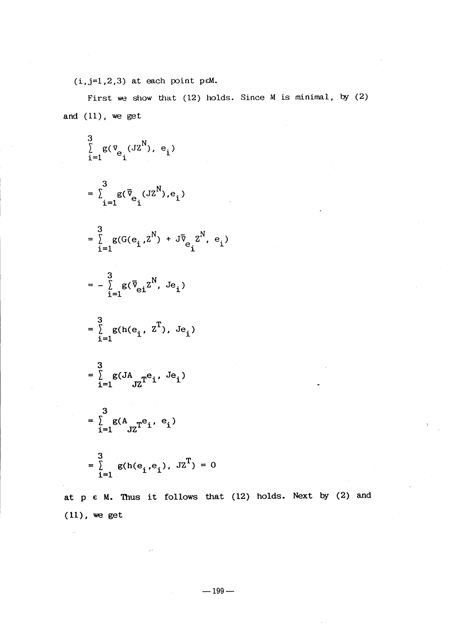$(i, j=1,2,3)$  at each point peM.

First we show that  $(12)$  holds. Since M is minimal, by  $(2)$ and (11), we get

$$
\sum_{i=1}^{3} g(\nabla_{e_i} (JZ^N), e_i)
$$
\n
$$
= \sum_{i=1}^{3} g(\overline{v}_{e_i} (JZ^N), e_i)
$$
\n
$$
= \sum_{i=1}^{3} g(G(e_i, Z^N) + J\overline{v}_{e_i} Z^N, e_i)
$$
\n
$$
= - \sum_{i=1}^{3} g(\overline{v}_{ei} Z^N, Je_i)
$$
\n
$$
= \sum_{i=1}^{3} g(h(e_i, Z^T), Je_i)
$$
\n
$$
= \sum_{i=1}^{3} g(JA_{JZ}^T e_i, Je_i)
$$
\n
$$
= \sum_{i=1}^{3} g(A_{JZ}^T e_i, e_i)
$$
\n
$$
= \sum_{i=1}^{3} g(h(e_i, e_i), JZ^T) = 0
$$

at  $p \in M$ . Thus it follows that (12) holds. Next by (2) and  $(11)$ , we get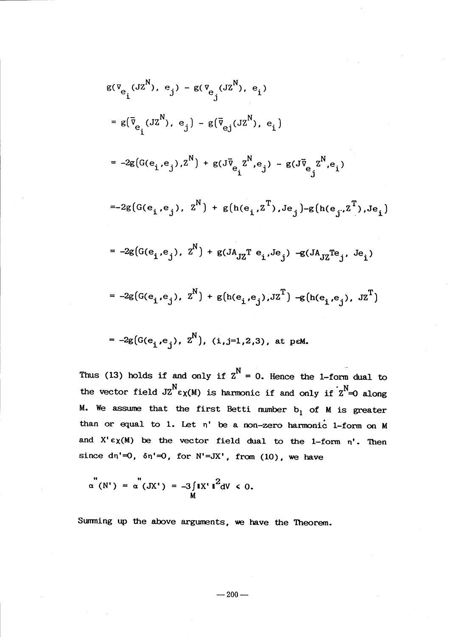$$
g(\nabla_{e_i}(JZ^N), e_j) - g(\nabla_{e_j}(JZ^N), e_i)
$$
\n
$$
= g(\bar{v}_{e_i}(JZ^N), e_j) - g(\bar{v}_{e_j}(JZ^N), e_i)
$$
\n
$$
= -2g(G(e_i, e_j), Z^N) + g(J\bar{v}_{e_i}Z^N, e_j) - g(J\bar{v}_{e_j}Z^N, e_i)
$$
\n
$$
= -2g(G(e_i, e_j), Z^N) + g(h(e_i, Z^T), Je_j) - g(h(e_j, Z^T), Je_i)
$$
\n
$$
= -2g(G(e_i, e_j), Z^N) + g(JA_{JZ}T e_i, Je_j) - g(JA_{JZ}Te_j, Je_i)
$$
\n
$$
= -2g(G(e_i, e_j), Z^N) + g(h(e_i, e_j), JZ^T) - g(h(e_i, e_j), JZ^T)
$$
\n
$$
= -2g(G(e_i, e_j), Z^N), (i, j=1, 2, 3), at p \in M.
$$

Thus (13) holds if and only if  $z^{N}=0$ . Hence the 1-form dual to the vector field  $JZ^{N}\epsilon_{X}(M)$  is hannonic if and only if  $Z^{N}\neq 0$  along M. We assume that the first Betti number  $b_{1}$  of M is greater than or equal to 1. Let  $\eta^{\prime}$  be a non-zero harmonic 1-form on M and  $X' \epsilon \chi(M)$  be the vector field dual to the 1-form  $\eta^{\prime}$ . Then since  $\text{dn}'=0$ ,  $\text{dn}'=0$ , for  $\text{N}'=\text{JX}'$ , from (10), we have

$$
\alpha^{''}(N') = \alpha^{''}(JX') = -3 \int_{M} \mathbf{i} X' \mathbf{i}^{2} dV < 0.
$$

Summing up the above arguments, we have the Theorem.